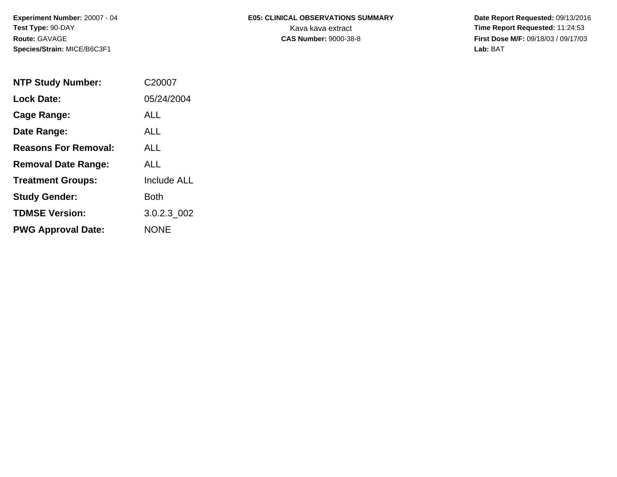# **E05: CLINICAL OBSERVATIONS SUMMARY**

 **Date Report Requested:** 09/13/2016 Kava kava extract **Time Report Requested:** 11:24:53<br>**CAS Number:** 9000-38-8 **Time Report Requested:** 11:24:53 **First Dose M/F:** 09/18/03 / 09/17/03<br>Lab: BAT **Lab:** BAT

| <b>NTP Study Number:</b>    | C20007             |
|-----------------------------|--------------------|
| <b>Lock Date:</b>           | 05/24/2004         |
| Cage Range:                 | ALL                |
| Date Range:                 | ALL.               |
| <b>Reasons For Removal:</b> | ALL.               |
| <b>Removal Date Range:</b>  | ALL                |
| <b>Treatment Groups:</b>    | <b>Include ALL</b> |
| <b>Study Gender:</b>        | Both               |
| <b>TDMSE Version:</b>       | 3.0.2.3 002        |
| <b>PWG Approval Date:</b>   | <b>NONE</b>        |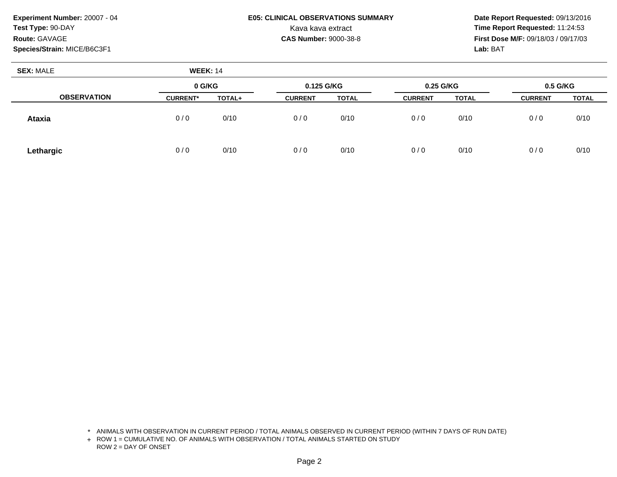### **E05: CLINICAL OBSERVATIONS SUMMARY**

 **Date Report Requested:** 09/13/2016 Kava kava extract **Time Report Requested:** 11:24:53<br>**CAS Number:** 9000-38-8 **Time Report Requested:** 11:24:53 **First Dose M/F:** 09/18/03 / 09/17/03<br>**Lab:** BAT **Lab:** BAT

| <b>SEX: MALE</b>   | <b>WEEK: 14</b> |        |                |              |                |              |                |              |
|--------------------|-----------------|--------|----------------|--------------|----------------|--------------|----------------|--------------|
|                    | 0 G/KG          |        | 0.125 G/KG     |              | 0.25 G/KG      |              | 0.5 G/KG       |              |
| <b>OBSERVATION</b> | <b>CURRENT*</b> | TOTAL+ | <b>CURRENT</b> | <b>TOTAL</b> | <b>CURRENT</b> | <b>TOTAL</b> | <b>CURRENT</b> | <b>TOTAL</b> |
| <b>Ataxia</b>      | 0/0             | 0/10   | 0/0            | 0/10         | 0/0            | 0/10         | 0/0            | 0/10         |
| Lethargic          | 0/0             | 0/10   | 0/0            | 0/10         | 0/0            | 0/10         | 0/0            | 0/10         |

\* ANIMALS WITH OBSERVATION IN CURRENT PERIOD / TOTAL ANIMALS OBSERVED IN CURRENT PERIOD (WITHIN 7 DAYS OF RUN DATE)

+ ROW 1 = CUMULATIVE NO. OF ANIMALS WITH OBSERVATION / TOTAL ANIMALS STARTED ON STUDY ROW 2 = DAY OF ONSET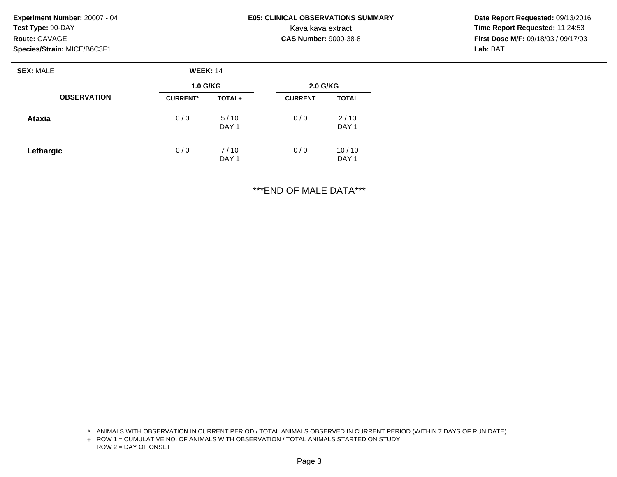### **E05: CLINICAL OBSERVATIONS SUMMARY**

 **Date Report Requested:** 09/13/2016 Kava kava extract **Time Report Requested:** 11:24:53<br>**CAS Number:** 9000-38-8 **Time Report Requested:** 11:24:53 **First Dose M/F:** 09/18/03 / 09/17/03<br>**Lab:** BAT **Lab:** BAT

| <b>SEX: MALE</b>   | <b>WEEK: 14</b> |                          |                |                           |  |
|--------------------|-----------------|--------------------------|----------------|---------------------------|--|
|                    | <b>1.0 G/KG</b> |                          | 2.0 G/KG       |                           |  |
| <b>OBSERVATION</b> | <b>CURRENT*</b> | TOTAL+                   | <b>CURRENT</b> | <b>TOTAL</b>              |  |
| <b>Ataxia</b>      | 0/0             | 5/10<br>DAY <sub>1</sub> | 0/0            | 2/10<br>DAY <sub>1</sub>  |  |
| Lethargic          | 0/0             | 7/10<br>DAY <sub>1</sub> | 0/0            | 10/10<br>DAY <sub>1</sub> |  |

\*\*\*END OF MALE DATA\*\*\*

<sup>\*</sup> ANIMALS WITH OBSERVATION IN CURRENT PERIOD / TOTAL ANIMALS OBSERVED IN CURRENT PERIOD (WITHIN 7 DAYS OF RUN DATE)

<sup>+</sup> ROW 1 = CUMULATIVE NO. OF ANIMALS WITH OBSERVATION / TOTAL ANIMALS STARTED ON STUDY ROW 2 = DAY OF ONSET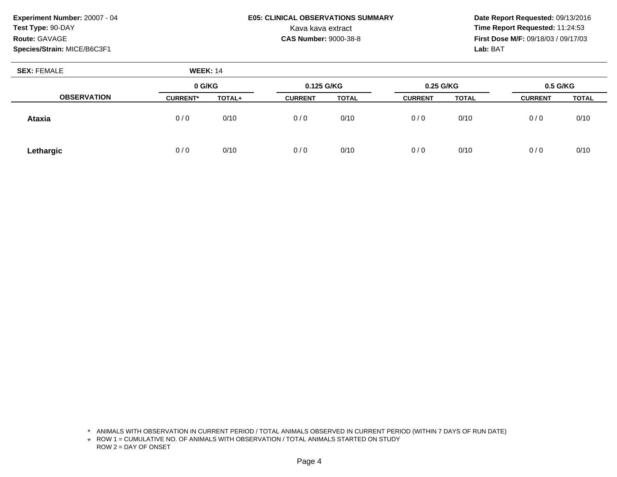### **E05: CLINICAL OBSERVATIONS SUMMARY**

 **Date Report Requested:** 09/13/2016 Kava kava extract **Time Report Requested:** 11:24:53<br>**CAS Number:** 9000-38-8 **Time Report Requested:** 11:24:53 **First Dose M/F:** 09/18/03 / 09/17/03<br>**Lab:** BAT **Lab:** BAT

| <b>SEX: FEMALE</b> | <b>WEEK: 14</b> |        |                |              |                |              |                |              |
|--------------------|-----------------|--------|----------------|--------------|----------------|--------------|----------------|--------------|
|                    | 0 G/KG          |        | 0.125 G/KG     |              | 0.25 G/KG      |              | $0.5$ G/KG     |              |
| <b>OBSERVATION</b> | <b>CURRENT*</b> | TOTAL+ | <b>CURRENT</b> | <b>TOTAL</b> | <b>CURRENT</b> | <b>TOTAL</b> | <b>CURRENT</b> | <b>TOTAL</b> |
| <b>Ataxia</b>      | 0/0             | 0/10   | 0/0            | 0/10         | 0/0            | 0/10         | 0/0            | 0/10         |
| Lethargic          | 0/0             | 0/10   | 0/0            | 0/10         | 0/0            | 0/10         | 0/0            | 0/10         |

\* ANIMALS WITH OBSERVATION IN CURRENT PERIOD / TOTAL ANIMALS OBSERVED IN CURRENT PERIOD (WITHIN 7 DAYS OF RUN DATE)

+ ROW 1 = CUMULATIVE NO. OF ANIMALS WITH OBSERVATION / TOTAL ANIMALS STARTED ON STUDY ROW 2 = DAY OF ONSET